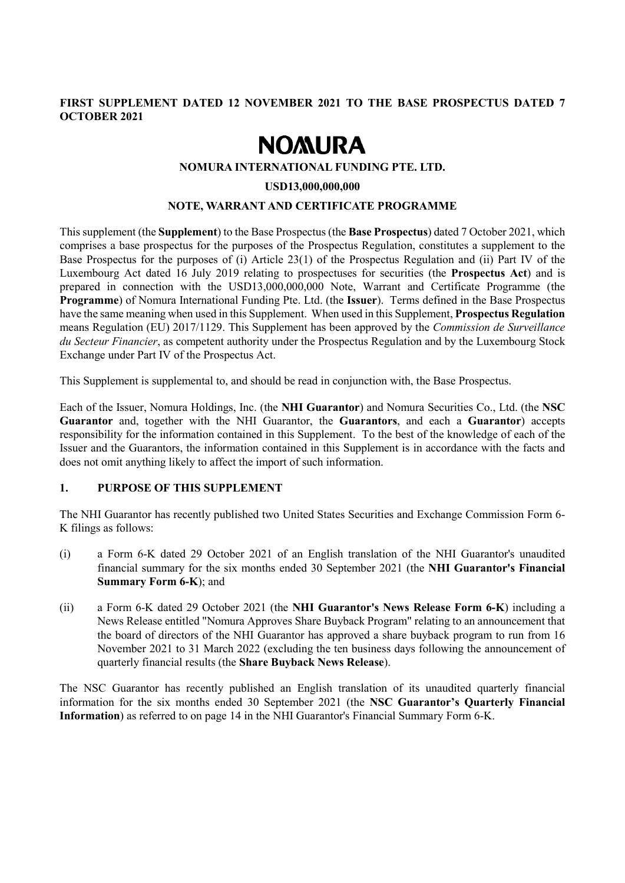## **FIRST SUPPLEMENT DATED 12 NOVEMBER 2021 TO THE BASE PROSPECTUS DATED 7 OCTOBER 2021**

# **NOMURA**

#### **NOMURA INTERNATIONAL FUNDING PTE. LTD.**

#### **USD13,000,000,000**

#### **NOTE, WARRANT AND CERTIFICATE PROGRAMME**

This supplement (the **Supplement**) to the Base Prospectus (the **Base Prospectus**) dated 7 October 2021, which comprises a base prospectus for the purposes of the Prospectus Regulation, constitutes a supplement to the Base Prospectus for the purposes of (i) Article 23(1) of the Prospectus Regulation and (ii) Part IV of the Luxembourg Act dated 16 July 2019 relating to prospectuses for securities (the **Prospectus Act**) and is prepared in connection with the USD13,000,000,000 Note, Warrant and Certificate Programme (the **Programme**) of Nomura International Funding Pte. Ltd. (the **Issuer**). Terms defined in the Base Prospectus have the same meaning when used in this Supplement. When used in this Supplement, **Prospectus Regulation** means Regulation (EU) 2017/1129. This Supplement has been approved by the *Commission de Surveillance du Secteur Financier*, as competent authority under the Prospectus Regulation and by the Luxembourg Stock Exchange under Part IV of the Prospectus Act.

This Supplement is supplemental to, and should be read in conjunction with, the Base Prospectus.

Each of the Issuer, Nomura Holdings, Inc. (the **NHI Guarantor**) and Nomura Securities Co., Ltd. (the **NSC Guarantor** and, together with the NHI Guarantor, the **Guarantors**, and each a **Guarantor**) accepts responsibility for the information contained in this Supplement. To the best of the knowledge of each of the Issuer and the Guarantors, the information contained in this Supplement is in accordance with the facts and does not omit anything likely to affect the import of such information.

# **1. PURPOSE OF THIS SUPPLEMENT**

The NHI Guarantor has recently published two United States Securities and Exchange Commission Form 6- K filings as follows:

- (i) a Form 6-K dated 29 October 2021 of an English translation of the NHI Guarantor's unaudited financial summary for the six months ended 30 September 2021 (the **NHI Guarantor's Financial Summary Form 6-K**); and
- (ii) a Form 6-K dated 29 October 2021 (the **NHI Guarantor's News Release Form 6-K**) including a News Release entitled "Nomura Approves Share Buyback Program" relating to an announcement that the board of directors of the NHI Guarantor has approved a share buyback program to run from 16 November 2021 to 31 March 2022 (excluding the ten business days following the announcement of quarterly financial results (the **Share Buyback News Release**).

The NSC Guarantor has recently published an English translation of its unaudited quarterly financial information for the six months ended 30 September 2021 (the **NSC Guarantor's Quarterly Financial Information**) as referred to on page 14 in the NHI Guarantor's Financial Summary Form 6-K.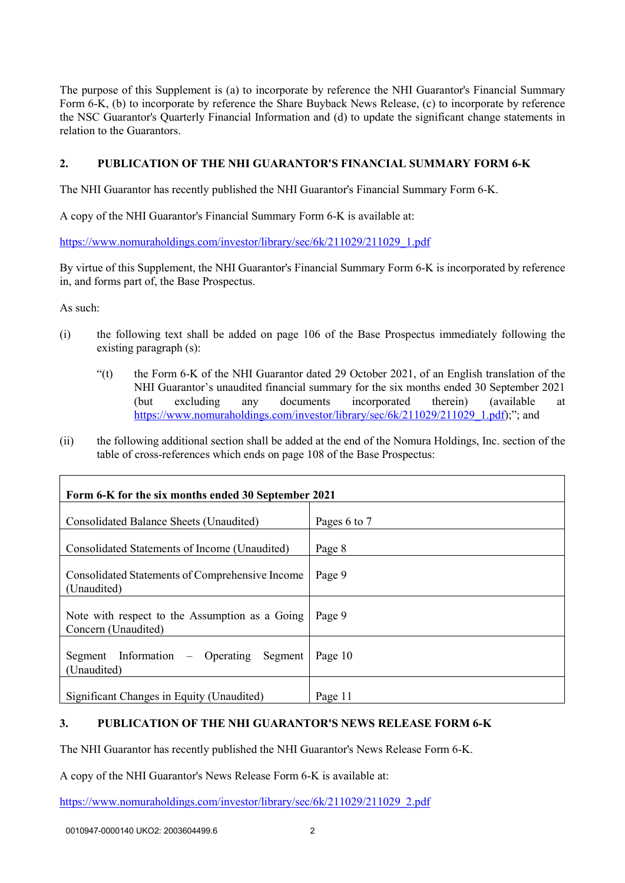The purpose of this Supplement is (a) to incorporate by reference the NHI Guarantor's Financial Summary Form 6-K, (b) to incorporate by reference the Share Buyback News Release, (c) to incorporate by reference the NSC Guarantor's Quarterly Financial Information and (d) to update the significant change statements in relation to the Guarantors.

## **2. PUBLICATION OF THE NHI GUARANTOR'S FINANCIAL SUMMARY FORM 6-K**

The NHI Guarantor has recently published the NHI Guarantor's Financial Summary Form 6-K.

A copy of the NHI Guarantor's Financial Summary Form 6-K is available at:

[https://www.nomuraholdings.com/investor/library/sec/6k/211029/211029\\_1.pdf](https://www.nomuraholdings.com/investor/library/sec/6k/211029/211029_1.pdf)

By virtue of this Supplement, the NHI Guarantor's Financial Summary Form 6-K is incorporated by reference in, and forms part of, the Base Prospectus.

As such:

- (i) the following text shall be added on page 106 of the Base Prospectus immediately following the existing paragraph (s):
	- " $(t)$  the Form 6-K of the NHI Guarantor dated 29 October 2021, of an English translation of the NHI Guarantor's unaudited financial summary for the six months ended 30 September 2021 (but excluding any documents incorporated therein) (available at [https://www.nomuraholdings.com/investor/library/sec/6k/211029/211029\\_1.pdf\)](https://www.nomuraholdings.com/investor/library/sec/6k/211029/211029_1.pdf);"; and
- (ii) the following additional section shall be added at the end of the Nomura Holdings, Inc. section of the table of cross-references which ends on page 108 of the Base Prospectus:

| Form 6-K for the six months ended 30 September 2021                   |              |  |
|-----------------------------------------------------------------------|--------------|--|
| Consolidated Balance Sheets (Unaudited)                               | Pages 6 to 7 |  |
| Consolidated Statements of Income (Unaudited)                         | Page 8       |  |
| Consolidated Statements of Comprehensive Income<br>(Unaudited)        | Page 9       |  |
| Note with respect to the Assumption as a Going<br>Concern (Unaudited) | Page 9       |  |
| Segment Information – Operating<br>Segment<br>(Unaudited)             | Page 10      |  |
| Significant Changes in Equity (Unaudited)                             | Page 11      |  |

# **3. PUBLICATION OF THE NHI GUARANTOR'S NEWS RELEASE FORM 6-K**

The NHI Guarantor has recently published the NHI Guarantor's News Release Form 6-K.

A copy of the NHI Guarantor's News Release Form 6-K is available at:

[https://www.nomuraholdings.com/investor/library/sec/6k/211029/211029\\_2.pdf](https://www.nomuraholdings.com/investor/library/sec/6k/211029/211029_2.pdf)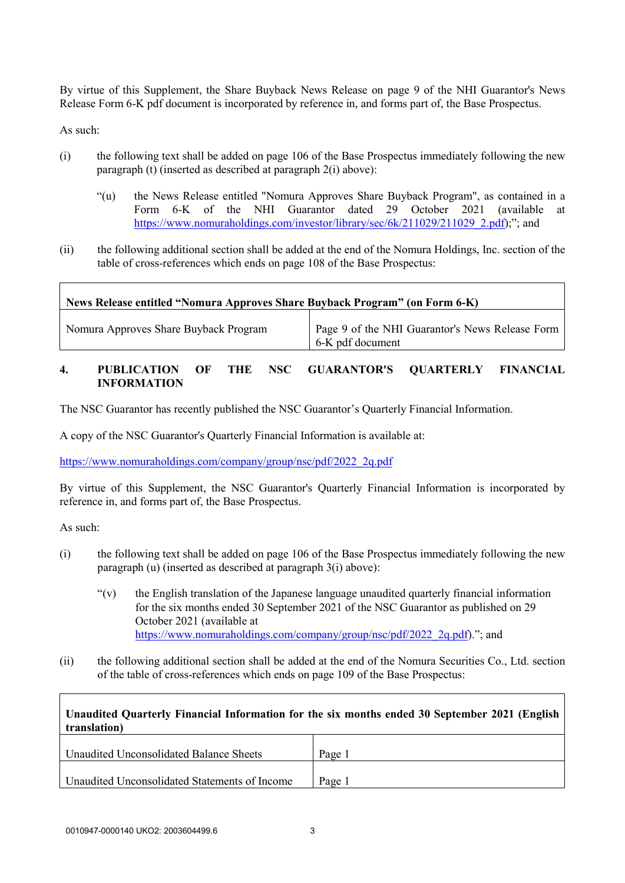By virtue of this Supplement, the Share Buyback News Release on page 9 of the NHI Guarantor's News Release Form 6-K pdf document is incorporated by reference in, and forms part of, the Base Prospectus.

As such:

- (i) the following text shall be added on page 106 of the Base Prospectus immediately following the new paragraph (t) (inserted as described at paragraph 2(i) above):
	- "(u) the News Release entitled "Nomura Approves Share Buyback Program", as contained in a Form 6-K of the NHI Guarantor dated 29 October 2021 (available at [https://www.nomuraholdings.com/investor/library/sec/6k/211029/211029\\_2.pdf\)](https://www.nomuraholdings.com/investor/library/sec/6k/211029/211029_2.pdf);"; and
- (ii) the following additional section shall be added at the end of the Nomura Holdings, Inc. section of the table of cross-references which ends on page 108 of the Base Prospectus:

| News Release entitled "Nomura Approves Share Buyback Program" (on Form 6-K) |                                                                     |
|-----------------------------------------------------------------------------|---------------------------------------------------------------------|
| Nomura Approves Share Buyback Program                                       | Page 9 of the NHI Guarantor's News Release Form<br>6-K pdf document |

### **4. PUBLICATION OF THE NSC GUARANTOR'S QUARTERLY FINANCIAL INFORMATION**

The NSC Guarantor has recently published the NSC Guarantor's Quarterly Financial Information.

A copy of the NSC Guarantor's Quarterly Financial Information is available at:

[https://www.nomuraholdings.com/company/group/nsc/pdf/2022\\_2q.pdf](https://www.nomuraholdings.com/company/group/nsc/pdf/2022_2q.pdf)

By virtue of this Supplement, the NSC Guarantor's Quarterly Financial Information is incorporated by reference in, and forms part of, the Base Prospectus.

As such:

- (i) the following text shall be added on page 106 of the Base Prospectus immediately following the new paragraph (u) (inserted as described at paragraph 3(i) above):
	- $\mathcal{L}(v)$  the English translation of the Japanese language unaudited quarterly financial information for the six months ended 30 September 2021 of the NSC Guarantor as published on 29 October 2021 (available at [https://www.nomuraholdings.com/company/group/nsc/pdf/2022\\_2q.pdf\)](https://www.nomuraholdings.com/company/group/nsc/pdf/2022_2q.pdf)."; and
- (ii) the following additional section shall be added at the end of the Nomura Securities Co., Ltd. section of the table of cross-references which ends on page 109 of the Base Prospectus:

| Unaudited Quarterly Financial Information for the six months ended 30 September 2021 (English<br>translation) |        |  |
|---------------------------------------------------------------------------------------------------------------|--------|--|
| Unaudited Unconsolidated Balance Sheets                                                                       | Page 1 |  |
| Unaudited Unconsolidated Statements of Income                                                                 | Page 1 |  |